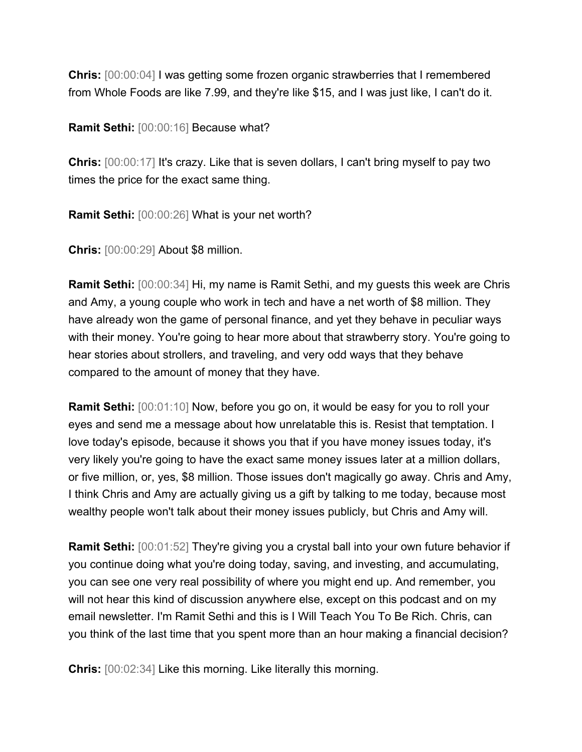**Chris:** [00:00:04] I was getting some frozen organic strawberries that I remembered from Whole Foods are like 7.99, and they're like \$15, and I was just like, I can't do it.

**Ramit Sethi:** [00:00:16] Because what?

**Chris:** [00:00:17] It's crazy. Like that is seven dollars, I can't bring myself to pay two times the price for the exact same thing.

**Ramit Sethi:** [00:00:26] What is your net worth?

**Chris:** [00:00:29] About \$8 million.

**Ramit Sethi:** [00:00:34] Hi, my name is Ramit Sethi, and my guests this week are Chris and Amy, a young couple who work in tech and have a net worth of \$8 million. They have already won the game of personal finance, and yet they behave in peculiar ways with their money. You're going to hear more about that strawberry story. You're going to hear stories about strollers, and traveling, and very odd ways that they behave compared to the amount of money that they have.

**Ramit Sethi:** [00:01:10] Now, before you go on, it would be easy for you to roll your eyes and send me a message about how unrelatable this is. Resist that temptation. I love today's episode, because it shows you that if you have money issues today, it's very likely you're going to have the exact same money issues later at a million dollars, or five million, or, yes, \$8 million. Those issues don't magically go away. Chris and Amy, I think Chris and Amy are actually giving us a gift by talking to me today, because most wealthy people won't talk about their money issues publicly, but Chris and Amy will.

**Ramit Sethi:** [00:01:52] They're giving you a crystal ball into your own future behavior if you continue doing what you're doing today, saving, and investing, and accumulating, you can see one very real possibility of where you might end up. And remember, you will not hear this kind of discussion anywhere else, except on this podcast and on my email newsletter. I'm Ramit Sethi and this is I Will Teach You To Be Rich. Chris, can you think of the last time that you spent more than an hour making a financial decision?

**Chris:** [00:02:34] Like this morning. Like literally this morning.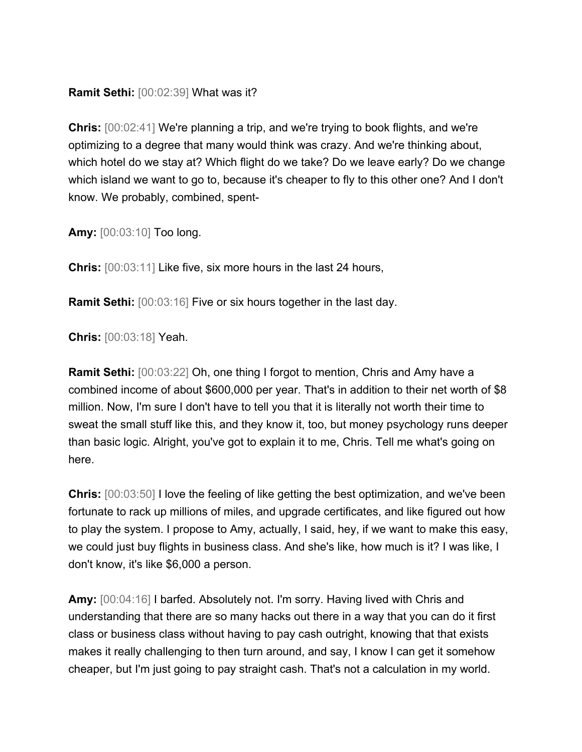## **Ramit Sethi:** [00:02:39] What was it?

**Chris:** [00:02:41] We're planning a trip, and we're trying to book flights, and we're optimizing to a degree that many would think was crazy. And we're thinking about, which hotel do we stay at? Which flight do we take? Do we leave early? Do we change which island we want to go to, because it's cheaper to fly to this other one? And I don't know. We probably, combined, spent-

**Amy:** [00:03:10] Too long.

**Chris:** [00:03:11] Like five, six more hours in the last 24 hours,

**Ramit Sethi:** [00:03:16] Five or six hours together in the last day.

**Chris:** [00:03:18] Yeah.

**Ramit Sethi:** [00:03:22] Oh, one thing I forgot to mention, Chris and Amy have a combined income of about \$600,000 per year. That's in addition to their net worth of \$8 million. Now, I'm sure I don't have to tell you that it is literally not worth their time to sweat the small stuff like this, and they know it, too, but money psychology runs deeper than basic logic. Alright, you've got to explain it to me, Chris. Tell me what's going on here.

**Chris:**  $[00:03:50]$  I love the feeling of like getting the best optimization, and we've been fortunate to rack up millions of miles, and upgrade certificates, and like figured out how to play the system. I propose to Amy, actually, I said, hey, if we want to make this easy, we could just buy flights in business class. And she's like, how much is it? I was like, I don't know, it's like \$6,000 a person.

**Amy:** [00:04:16] I barfed. Absolutely not. I'm sorry. Having lived with Chris and understanding that there are so many hacks out there in a way that you can do it first class or business class without having to pay cash outright, knowing that that exists makes it really challenging to then turn around, and say, I know I can get it somehow cheaper, but I'm just going to pay straight cash. That's not a calculation in my world.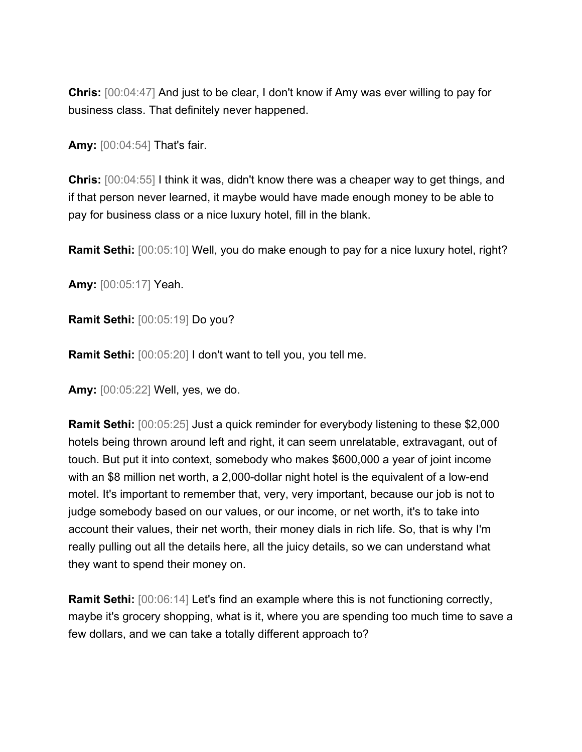**Chris:** [00:04:47] And just to be clear, I don't know if Amy was ever willing to pay for business class. That definitely never happened.

**Amy:** [00:04:54] That's fair.

**Chris:** [00:04:55] I think it was, didn't know there was a cheaper way to get things, and if that person never learned, it maybe would have made enough money to be able to pay for business class or a nice luxury hotel, fill in the blank.

**Ramit Sethi:** [00:05:10] Well, you do make enough to pay for a nice luxury hotel, right?

**Amy:** [00:05:17] Yeah.

**Ramit Sethi:** [00:05:19] Do you?

**Ramit Sethi:** [00:05:20] I don't want to tell you, you tell me.

**Amy:** [00:05:22] Well, yes, we do.

**Ramit Sethi:** [00:05:25] Just a quick reminder for everybody listening to these \$2,000 hotels being thrown around left and right, it can seem unrelatable, extravagant, out of touch. But put it into context, somebody who makes \$600,000 a year of joint income with an \$8 million net worth, a 2,000-dollar night hotel is the equivalent of a low-end motel. It's important to remember that, very, very important, because our job is not to judge somebody based on our values, or our income, or net worth, it's to take into account their values, their net worth, their money dials in rich life. So, that is why I'm really pulling out all the details here, all the juicy details, so we can understand what they want to spend their money on.

**Ramit Sethi:**  $[00:06:14]$  Let's find an example where this is not functioning correctly, maybe it's grocery shopping, what is it, where you are spending too much time to save a few dollars, and we can take a totally different approach to?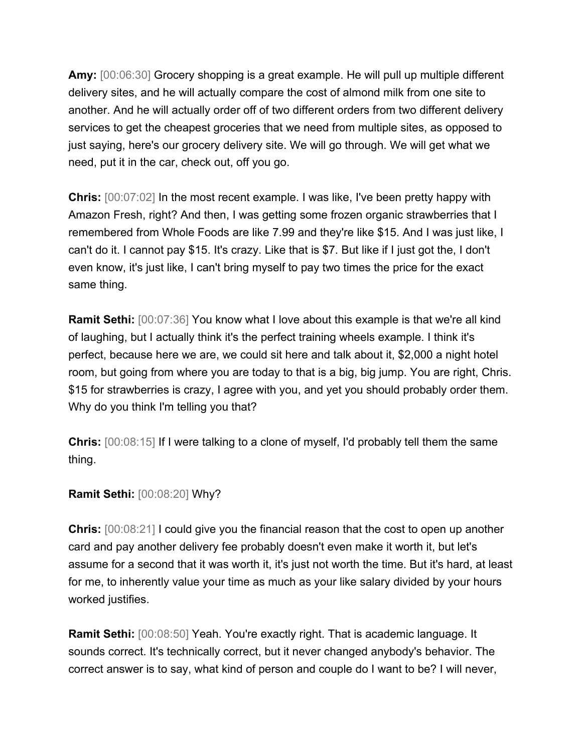**Amy:** [00:06:30] Grocery shopping is a great example. He will pull up multiple different delivery sites, and he will actually compare the cost of almond milk from one site to another. And he will actually order off of two different orders from two different delivery services to get the cheapest groceries that we need from multiple sites, as opposed to just saying, here's our grocery delivery site. We will go through. We will get what we need, put it in the car, check out, off you go.

**Chris:** [00:07:02] In the most recent example. I was like, I've been pretty happy with Amazon Fresh, right? And then, I was getting some frozen organic strawberries that I remembered from Whole Foods are like 7.99 and they're like \$15. And I was just like, I can't do it. I cannot pay \$15. It's crazy. Like that is \$7. But like if I just got the, I don't even know, it's just like, I can't bring myself to pay two times the price for the exact same thing.

**Ramit Sethi:** [00:07:36] You know what I love about this example is that we're all kind of laughing, but I actually think it's the perfect training wheels example. I think it's perfect, because here we are, we could sit here and talk about it, \$2,000 a night hotel room, but going from where you are today to that is a big, big jump. You are right, Chris. \$15 for strawberries is crazy, I agree with you, and yet you should probably order them. Why do you think I'm telling you that?

**Chris:** [00:08:15] If I were talking to a clone of myself, I'd probably tell them the same thing.

## **Ramit Sethi:** [00:08:20] Why?

**Chris:** [00:08:21] I could give you the financial reason that the cost to open up another card and pay another delivery fee probably doesn't even make it worth it, but let's assume for a second that it was worth it, it's just not worth the time. But it's hard, at least for me, to inherently value your time as much as your like salary divided by your hours worked justifies.

**Ramit Sethi:** [00:08:50] Yeah. You're exactly right. That is academic language. It sounds correct. It's technically correct, but it never changed anybody's behavior. The correct answer is to say, what kind of person and couple do I want to be? I will never,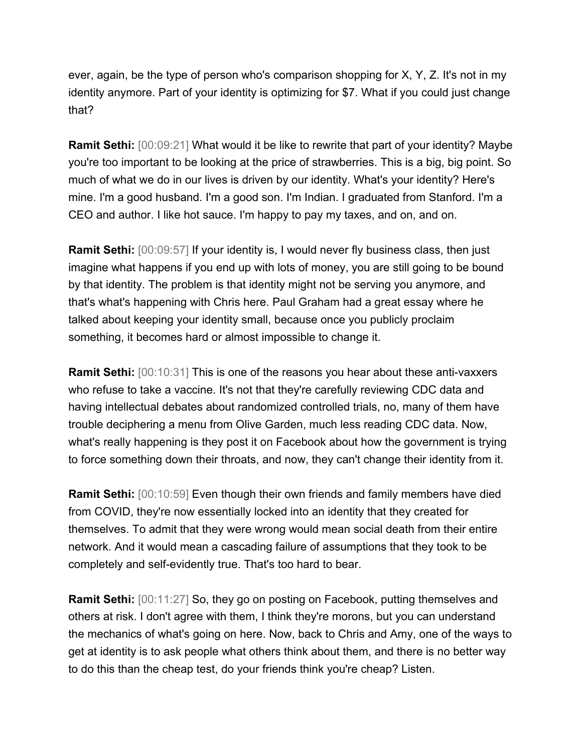ever, again, be the type of person who's comparison shopping for X, Y, Z. It's not in my identity anymore. Part of your identity is optimizing for \$7. What if you could just change that?

**Ramit Sethi:** [00:09:21] What would it be like to rewrite that part of your identity? Maybe you're too important to be looking at the price of strawberries. This is a big, big point. So much of what we do in our lives is driven by our identity. What's your identity? Here's mine. I'm a good husband. I'm a good son. I'm Indian. I graduated from Stanford. I'm a CEO and author. I like hot sauce. I'm happy to pay my taxes, and on, and on.

**Ramit Sethi:** [00:09:57] If your identity is, I would never fly business class, then just imagine what happens if you end up with lots of money, you are still going to be bound by that identity. The problem is that identity might not be serving you anymore, and that's what's happening with Chris here. Paul Graham had a great essay where he talked about keeping your identity small, because once you publicly proclaim something, it becomes hard or almost impossible to change it.

**Ramit Sethi:** [00:10:31] This is one of the reasons you hear about these anti-vaxxers who refuse to take a vaccine. It's not that they're carefully reviewing CDC data and having intellectual debates about randomized controlled trials, no, many of them have trouble deciphering a menu from Olive Garden, much less reading CDC data. Now, what's really happening is they post it on Facebook about how the government is trying to force something down their throats, and now, they can't change their identity from it.

**Ramit Sethi:** [00:10:59] Even though their own friends and family members have died from COVID, they're now essentially locked into an identity that they created for themselves. To admit that they were wrong would mean social death from their entire network. And it would mean a cascading failure of assumptions that they took to be completely and self-evidently true. That's too hard to bear.

**Ramit Sethi:** [00:11:27] So, they go on posting on Facebook, putting themselves and others at risk. I don't agree with them, I think they're morons, but you can understand the mechanics of what's going on here. Now, back to Chris and Amy, one of the ways to get at identity is to ask people what others think about them, and there is no better way to do this than the cheap test, do your friends think you're cheap? Listen.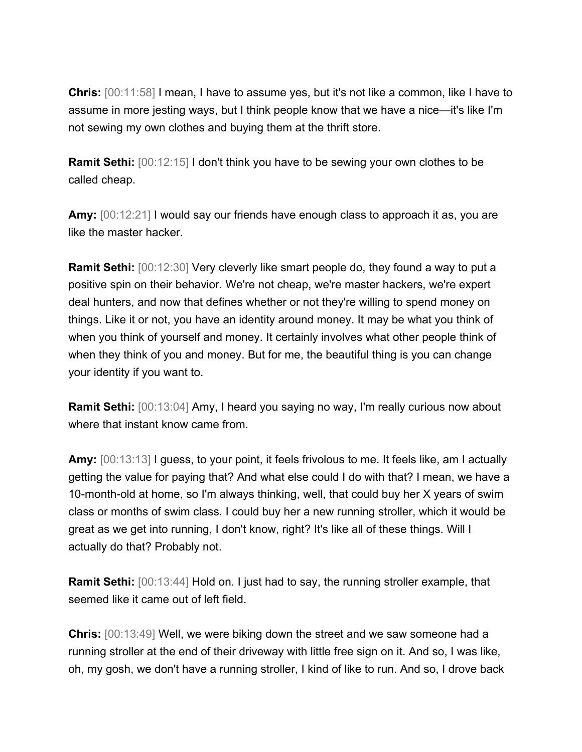**Chris:** [00:11:58] I mean, I have to assume yes, but it's not like a common, like I have to assume in more jesting ways, but I think people know that we have a nice—it's like I'm not sewing my own clothes and buying them at the thrift store.

**Ramit Sethi:**  $[00:12:15]$  I don't think you have to be sewing your own clothes to be called cheap.

**Amy:** [00:12:21] I would say our friends have enough class to approach it as, you are like the master hacker.

**Ramit Sethi:** [00:12:30] Very cleverly like smart people do, they found a way to put a positive spin on their behavior. We're not cheap, we're master hackers, we're expert deal hunters, and now that defines whether or not they're willing to spend money on things. Like it or not, you have an identity around money. It may be what you think of when you think of yourself and money. It certainly involves what other people think of when they think of you and money. But for me, the beautiful thing is you can change your identity if you want to.

**Ramit Sethi:** [00:13:04] Amy, I heard you saying no way, I'm really curious now about where that instant know came from.

**Amy:** [00:13:13] I guess, to your point, it feels frivolous to me. It feels like, am I actually getting the value for paying that? And what else could I do with that? I mean, we have a 10-month-old at home, so I'm always thinking, well, that could buy her X years of swim class or months of swim class. I could buy her a new running stroller, which it would be great as we get into running, I don't know, right? It's like all of these things. Will I actually do that? Probably not.

**Ramit Sethi:** [00:13:44] Hold on. I just had to say, the running stroller example, that seemed like it came out of left field.

**Chris:** [00:13:49] Well, we were biking down the street and we saw someone had a running stroller at the end of their driveway with little free sign on it. And so, I was like, oh, my gosh, we don't have a running stroller, I kind of like to run. And so, I drove back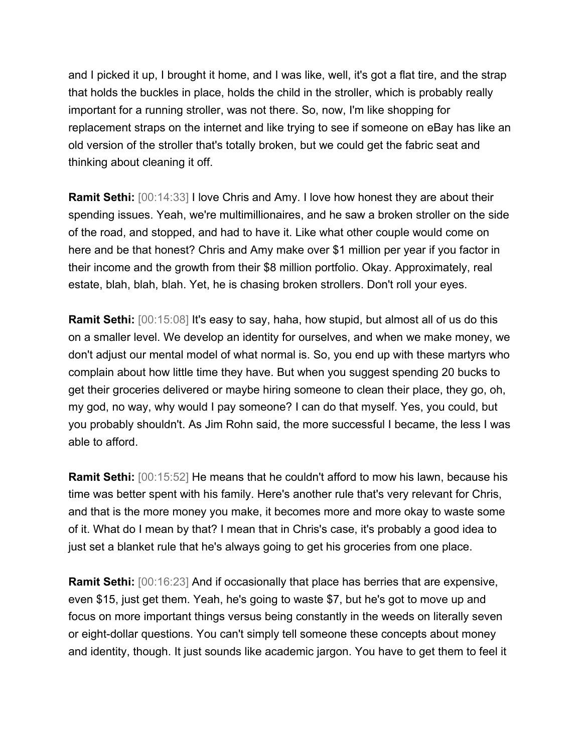and I picked it up, I brought it home, and I was like, well, it's got a flat tire, and the strap that holds the buckles in place, holds the child in the stroller, which is probably really important for a running stroller, was not there. So, now, I'm like shopping for replacement straps on the internet and like trying to see if someone on eBay has like an old version of the stroller that's totally broken, but we could get the fabric seat and thinking about cleaning it off.

**Ramit Sethi:** [00:14:33] I love Chris and Amy. I love how honest they are about their spending issues. Yeah, we're multimillionaires, and he saw a broken stroller on the side of the road, and stopped, and had to have it. Like what other couple would come on here and be that honest? Chris and Amy make over \$1 million per year if you factor in their income and the growth from their \$8 million portfolio. Okay. Approximately, real estate, blah, blah, blah. Yet, he is chasing broken strollers. Don't roll your eyes.

**Ramit Sethi:** [00:15:08] It's easy to say, haha, how stupid, but almost all of us do this on a smaller level. We develop an identity for ourselves, and when we make money, we don't adjust our mental model of what normal is. So, you end up with these martyrs who complain about how little time they have. But when you suggest spending 20 bucks to get their groceries delivered or maybe hiring someone to clean their place, they go, oh, my god, no way, why would I pay someone? I can do that myself. Yes, you could, but you probably shouldn't. As Jim Rohn said, the more successful I became, the less I was able to afford.

**Ramit Sethi:** [00:15:52] He means that he couldn't afford to mow his lawn, because his time was better spent with his family. Here's another rule that's very relevant for Chris, and that is the more money you make, it becomes more and more okay to waste some of it. What do I mean by that? I mean that in Chris's case, it's probably a good idea to just set a blanket rule that he's always going to get his groceries from one place.

**Ramit Sethi:** [00:16:23] And if occasionally that place has berries that are expensive, even \$15, just get them. Yeah, he's going to waste \$7, but he's got to move up and focus on more important things versus being constantly in the weeds on literally seven or eight-dollar questions. You can't simply tell someone these concepts about money and identity, though. It just sounds like academic jargon. You have to get them to feel it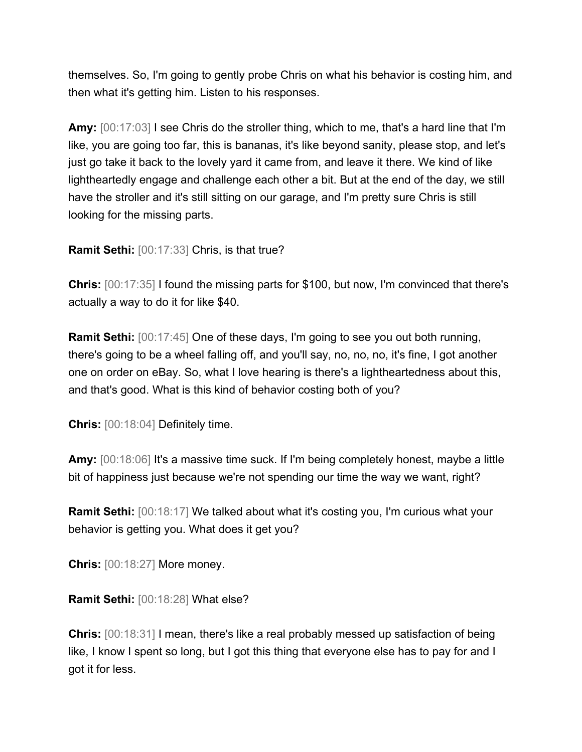themselves. So, I'm going to gently probe Chris on what his behavior is costing him, and then what it's getting him. Listen to his responses.

**Amy:** [00:17:03] I see Chris do the stroller thing, which to me, that's a hard line that I'm like, you are going too far, this is bananas, it's like beyond sanity, please stop, and let's just go take it back to the lovely yard it came from, and leave it there. We kind of like lightheartedly engage and challenge each other a bit. But at the end of the day, we still have the stroller and it's still sitting on our garage, and I'm pretty sure Chris is still looking for the missing parts.

**Ramit Sethi:** [00:17:33] Chris, is that true?

**Chris:** [00:17:35] I found the missing parts for \$100, but now, I'm convinced that there's actually a way to do it for like \$40.

**Ramit Sethi:** [00:17:45] One of these days, I'm going to see you out both running, there's going to be a wheel falling off, and you'll say, no, no, no, it's fine, I got another one on order on eBay. So, what I love hearing is there's a lightheartedness about this, and that's good. What is this kind of behavior costing both of you?

**Chris:** [00:18:04] Definitely time.

**Amy:** [00:18:06] It's a massive time suck. If I'm being completely honest, maybe a little bit of happiness just because we're not spending our time the way we want, right?

**Ramit Sethi:** [00:18:17] We talked about what it's costing you, I'm curious what your behavior is getting you. What does it get you?

**Chris:** [00:18:27] More money.

**Ramit Sethi:** [00:18:28] What else?

**Chris:**  $[00:18:31]$  I mean, there's like a real probably messed up satisfaction of being like, I know I spent so long, but I got this thing that everyone else has to pay for and I got it for less.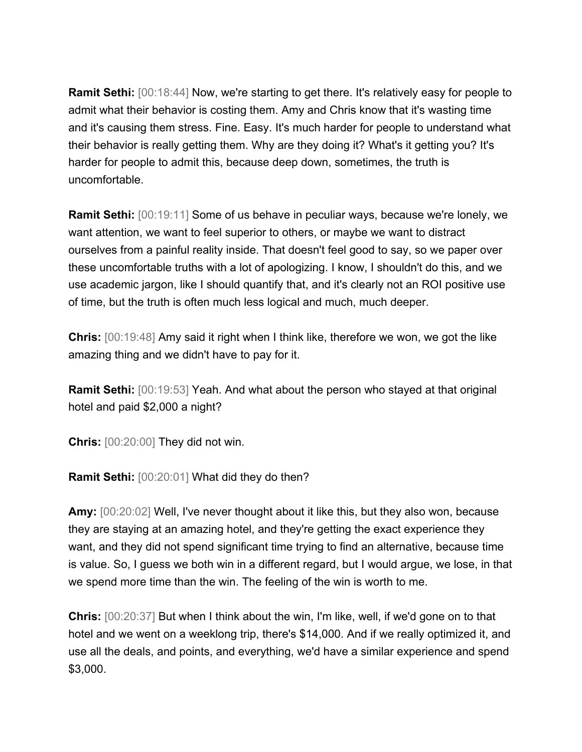**Ramit Sethi:** [00:18:44] Now, we're starting to get there. It's relatively easy for people to admit what their behavior is costing them. Amy and Chris know that it's wasting time and it's causing them stress. Fine. Easy. It's much harder for people to understand what their behavior is really getting them. Why are they doing it? What's it getting you? It's harder for people to admit this, because deep down, sometimes, the truth is uncomfortable.

**Ramit Sethi:** [00:19:11] Some of us behave in peculiar ways, because we're lonely, we want attention, we want to feel superior to others, or maybe we want to distract ourselves from a painful reality inside. That doesn't feel good to say, so we paper over these uncomfortable truths with a lot of apologizing. I know, I shouldn't do this, and we use academic jargon, like I should quantify that, and it's clearly not an ROI positive use of time, but the truth is often much less logical and much, much deeper.

**Chris:** [00:19:48] Amy said it right when I think like, therefore we won, we got the like amazing thing and we didn't have to pay for it.

**Ramit Sethi:** [00:19:53] Yeah. And what about the person who stayed at that original hotel and paid \$2,000 a night?

**Chris:** [00:20:00] They did not win.

**Ramit Sethi:** [00:20:01] What did they do then?

**Amy:** [00:20:02] Well, I've never thought about it like this, but they also won, because they are staying at an amazing hotel, and they're getting the exact experience they want, and they did not spend significant time trying to find an alternative, because time is value. So, I guess we both win in a different regard, but I would argue, we lose, in that we spend more time than the win. The feeling of the win is worth to me.

**Chris:** [00:20:37] But when I think about the win, I'm like, well, if we'd gone on to that hotel and we went on a weeklong trip, there's \$14,000. And if we really optimized it, and use all the deals, and points, and everything, we'd have a similar experience and spend \$3,000.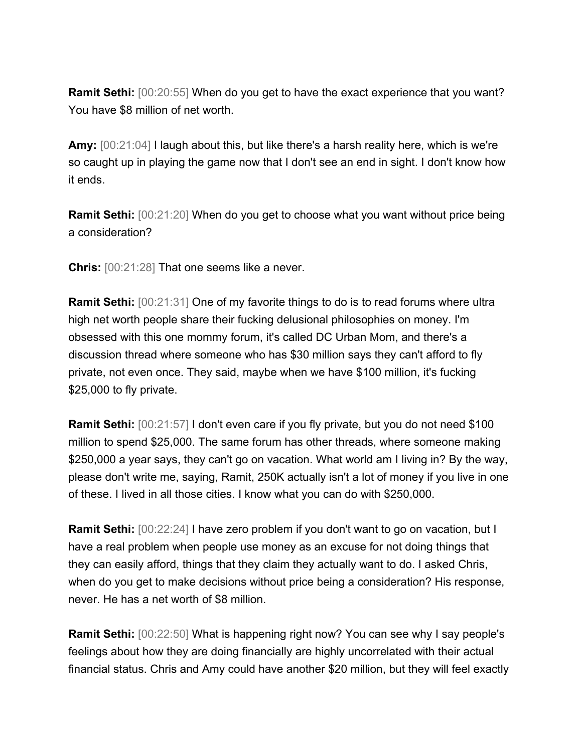**Ramit Sethi:** [00:20:55] When do you get to have the exact experience that you want? You have \$8 million of net worth.

**Amy:** [00:21:04] I laugh about this, but like there's a harsh reality here, which is we're so caught up in playing the game now that I don't see an end in sight. I don't know how it ends.

**Ramit Sethi:** [00:21:20] When do you get to choose what you want without price being a consideration?

**Chris:** [00:21:28] That one seems like a never.

**Ramit Sethi:** [00:21:31] One of my favorite things to do is to read forums where ultra high net worth people share their fucking delusional philosophies on money. I'm obsessed with this one mommy forum, it's called DC Urban Mom, and there's a discussion thread where someone who has \$30 million says they can't afford to fly private, not even once. They said, maybe when we have \$100 million, it's fucking \$25,000 to fly private.

**Ramit Sethi:**  $[00:21:57]$  I don't even care if you fly private, but you do not need \$100 million to spend \$25,000. The same forum has other threads, where someone making \$250,000 a year says, they can't go on vacation. What world am I living in? By the way, please don't write me, saying, Ramit, 250K actually isn't a lot of money if you live in one of these. I lived in all those cities. I know what you can do with \$250,000.

**Ramit Sethi:** [00:22:24] I have zero problem if you don't want to go on vacation, but I have a real problem when people use money as an excuse for not doing things that they can easily afford, things that they claim they actually want to do. I asked Chris, when do you get to make decisions without price being a consideration? His response, never. He has a net worth of \$8 million.

**Ramit Sethi:** [00:22:50] What is happening right now? You can see why I say people's feelings about how they are doing financially are highly uncorrelated with their actual financial status. Chris and Amy could have another \$20 million, but they will feel exactly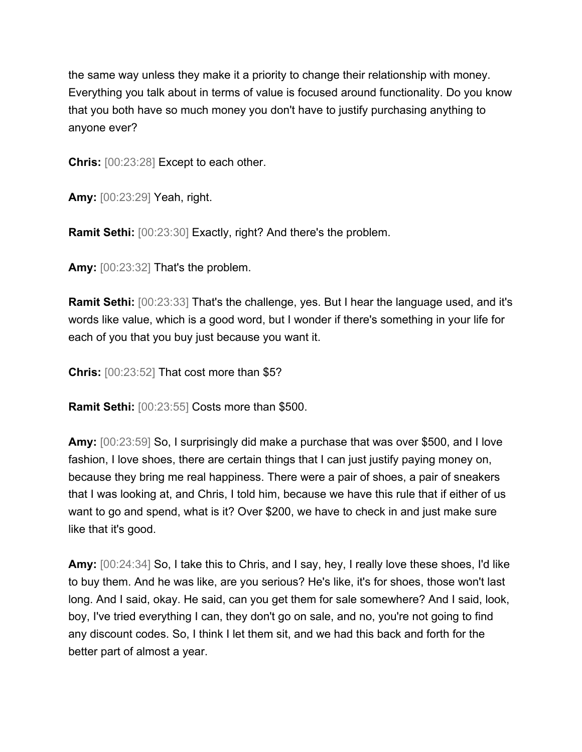the same way unless they make it a priority to change their relationship with money. Everything you talk about in terms of value is focused around functionality. Do you know that you both have so much money you don't have to justify purchasing anything to anyone ever?

**Chris:** [00:23:28] Except to each other.

**Amy:** [00:23:29] Yeah, right.

**Ramit Sethi:** [00:23:30] Exactly, right? And there's the problem.

**Amy:** [00:23:32] That's the problem.

**Ramit Sethi:** [00:23:33] That's the challenge, yes. But I hear the language used, and it's words like value, which is a good word, but I wonder if there's something in your life for each of you that you buy just because you want it.

**Chris:** [00:23:52] That cost more than \$5?

**Ramit Sethi:** [00:23:55] Costs more than \$500.

**Amy:** [00:23:59] So, I surprisingly did make a purchase that was over \$500, and I love fashion, I love shoes, there are certain things that I can just justify paying money on, because they bring me real happiness. There were a pair of shoes, a pair of sneakers that I was looking at, and Chris, I told him, because we have this rule that if either of us want to go and spend, what is it? Over \$200, we have to check in and just make sure like that it's good.

**Amy:** [00:24:34] So, I take this to Chris, and I say, hey, I really love these shoes, I'd like to buy them. And he was like, are you serious? He's like, it's for shoes, those won't last long. And I said, okay. He said, can you get them for sale somewhere? And I said, look, boy, I've tried everything I can, they don't go on sale, and no, you're not going to find any discount codes. So, I think I let them sit, and we had this back and forth for the better part of almost a year.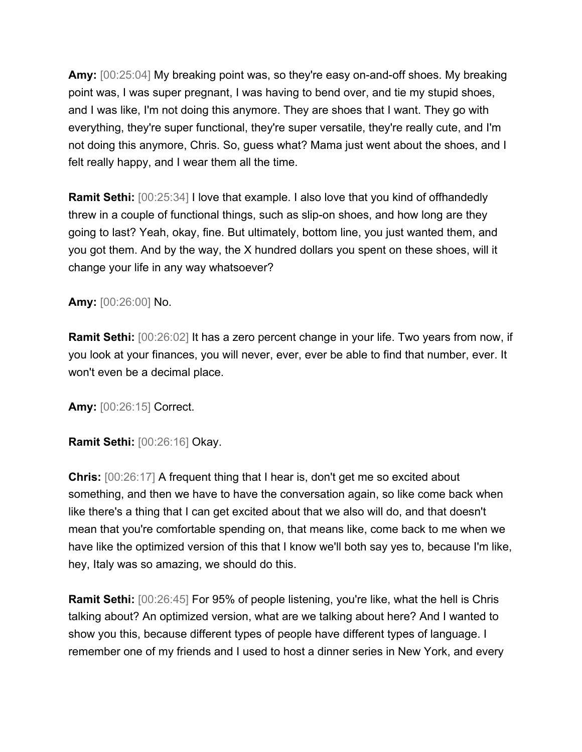**Amy:** [00:25:04] My breaking point was, so they're easy on-and-off shoes. My breaking point was, I was super pregnant, I was having to bend over, and tie my stupid shoes, and I was like, I'm not doing this anymore. They are shoes that I want. They go with everything, they're super functional, they're super versatile, they're really cute, and I'm not doing this anymore, Chris. So, guess what? Mama just went about the shoes, and I felt really happy, and I wear them all the time.

**Ramit Sethi:**  $[00:25:34]$  I love that example. I also love that you kind of offhandedly threw in a couple of functional things, such as slip-on shoes, and how long are they going to last? Yeah, okay, fine. But ultimately, bottom line, you just wanted them, and you got them. And by the way, the X hundred dollars you spent on these shoes, will it change your life in any way whatsoever?

## **Amy:** [00:26:00] No.

**Ramit Sethi:** [00:26:02] It has a zero percent change in your life. Two years from now, if you look at your finances, you will never, ever, ever be able to find that number, ever. It won't even be a decimal place.

**Amy:** [00:26:15] Correct.

## **Ramit Sethi:** [00:26:16] Okay.

**Chris:** [00:26:17] A frequent thing that I hear is, don't get me so excited about something, and then we have to have the conversation again, so like come back when like there's a thing that I can get excited about that we also will do, and that doesn't mean that you're comfortable spending on, that means like, come back to me when we have like the optimized version of this that I know we'll both say yes to, because I'm like, hey, Italy was so amazing, we should do this.

**Ramit Sethi:** [00:26:45] For 95% of people listening, you're like, what the hell is Chris talking about? An optimized version, what are we talking about here? And I wanted to show you this, because different types of people have different types of language. I remember one of my friends and I used to host a dinner series in New York, and every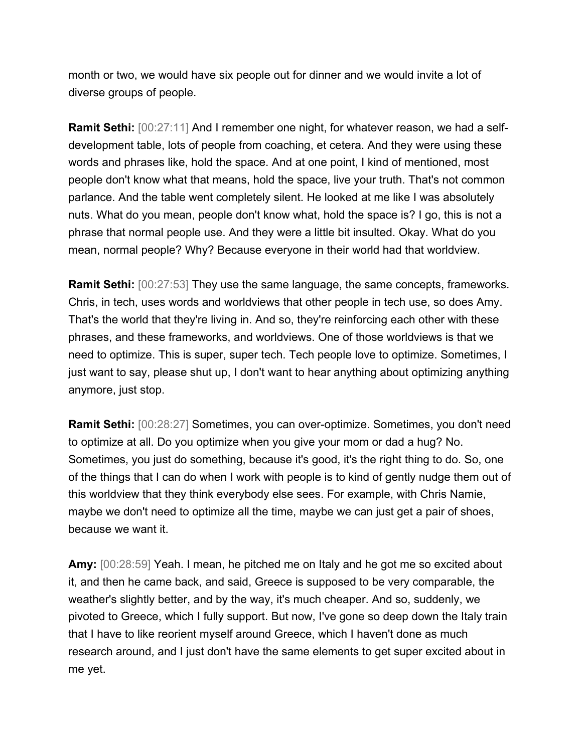month or two, we would have six people out for dinner and we would invite a lot of diverse groups of people.

**Ramit Sethi:** [00:27:11] And I remember one night, for whatever reason, we had a selfdevelopment table, lots of people from coaching, et cetera. And they were using these words and phrases like, hold the space. And at one point, I kind of mentioned, most people don't know what that means, hold the space, live your truth. That's not common parlance. And the table went completely silent. He looked at me like I was absolutely nuts. What do you mean, people don't know what, hold the space is? I go, this is not a phrase that normal people use. And they were a little bit insulted. Okay. What do you mean, normal people? Why? Because everyone in their world had that worldview.

**Ramit Sethi:** [00:27:53] They use the same language, the same concepts, frameworks. Chris, in tech, uses words and worldviews that other people in tech use, so does Amy. That's the world that they're living in. And so, they're reinforcing each other with these phrases, and these frameworks, and worldviews. One of those worldviews is that we need to optimize. This is super, super tech. Tech people love to optimize. Sometimes, I just want to say, please shut up, I don't want to hear anything about optimizing anything anymore, just stop.

**Ramit Sethi:** [00:28:27] Sometimes, you can over-optimize. Sometimes, you don't need to optimize at all. Do you optimize when you give your mom or dad a hug? No. Sometimes, you just do something, because it's good, it's the right thing to do. So, one of the things that I can do when I work with people is to kind of gently nudge them out of this worldview that they think everybody else sees. For example, with Chris Namie, maybe we don't need to optimize all the time, maybe we can just get a pair of shoes, because we want it.

**Amy:** [00:28:59] Yeah. I mean, he pitched me on Italy and he got me so excited about it, and then he came back, and said, Greece is supposed to be very comparable, the weather's slightly better, and by the way, it's much cheaper. And so, suddenly, we pivoted to Greece, which I fully support. But now, I've gone so deep down the Italy train that I have to like reorient myself around Greece, which I haven't done as much research around, and I just don't have the same elements to get super excited about in me yet.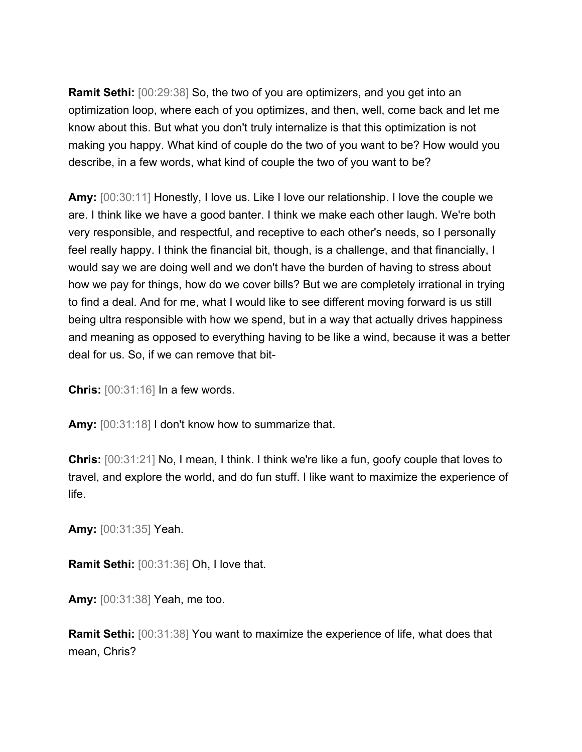**Ramit Sethi:** [00:29:38] So, the two of you are optimizers, and you get into an optimization loop, where each of you optimizes, and then, well, come back and let me know about this. But what you don't truly internalize is that this optimization is not making you happy. What kind of couple do the two of you want to be? How would you describe, in a few words, what kind of couple the two of you want to be?

**Amy:** [00:30:11] Honestly, I love us. Like I love our relationship. I love the couple we are. I think like we have a good banter. I think we make each other laugh. We're both very responsible, and respectful, and receptive to each other's needs, so I personally feel really happy. I think the financial bit, though, is a challenge, and that financially, I would say we are doing well and we don't have the burden of having to stress about how we pay for things, how do we cover bills? But we are completely irrational in trying to find a deal. And for me, what I would like to see different moving forward is us still being ultra responsible with how we spend, but in a way that actually drives happiness and meaning as opposed to everything having to be like a wind, because it was a better deal for us. So, if we can remove that bit-

**Chris:** [00:31:16] In a few words.

**Amy:** [00:31:18] I don't know how to summarize that.

**Chris:** [00:31:21] No, I mean, I think. I think we're like a fun, goofy couple that loves to travel, and explore the world, and do fun stuff. I like want to maximize the experience of life.

**Amy:** [00:31:35] Yeah.

**Ramit Sethi:** [00:31:36] Oh, I love that.

**Amy:** [00:31:38] Yeah, me too.

**Ramit Sethi:** [00:31:38] You want to maximize the experience of life, what does that mean, Chris?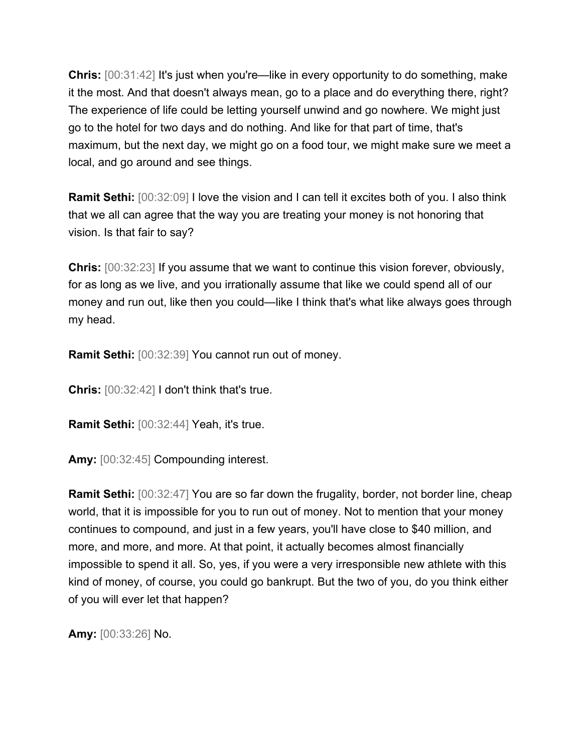**Chris:** [00:31:42] It's just when you're—like in every opportunity to do something, make it the most. And that doesn't always mean, go to a place and do everything there, right? The experience of life could be letting yourself unwind and go nowhere. We might just go to the hotel for two days and do nothing. And like for that part of time, that's maximum, but the next day, we might go on a food tour, we might make sure we meet a local, and go around and see things.

**Ramit Sethi:** [00:32:09] I love the vision and I can tell it excites both of you. I also think that we all can agree that the way you are treating your money is not honoring that vision. Is that fair to say?

**Chris:** [00:32:23] If you assume that we want to continue this vision forever, obviously, for as long as we live, and you irrationally assume that like we could spend all of our money and run out, like then you could—like I think that's what like always goes through my head.

**Ramit Sethi:** [00:32:39] You cannot run out of money.

**Chris:** [00:32:42] I don't think that's true.

**Ramit Sethi:** [00:32:44] Yeah, it's true.

**Amy:** [00:32:45] Compounding interest.

**Ramit Sethi:** [00:32:47] You are so far down the frugality, border, not border line, cheap world, that it is impossible for you to run out of money. Not to mention that your money continues to compound, and just in a few years, you'll have close to \$40 million, and more, and more, and more. At that point, it actually becomes almost financially impossible to spend it all. So, yes, if you were a very irresponsible new athlete with this kind of money, of course, you could go bankrupt. But the two of you, do you think either of you will ever let that happen?

**Amy:** [00:33:26] No.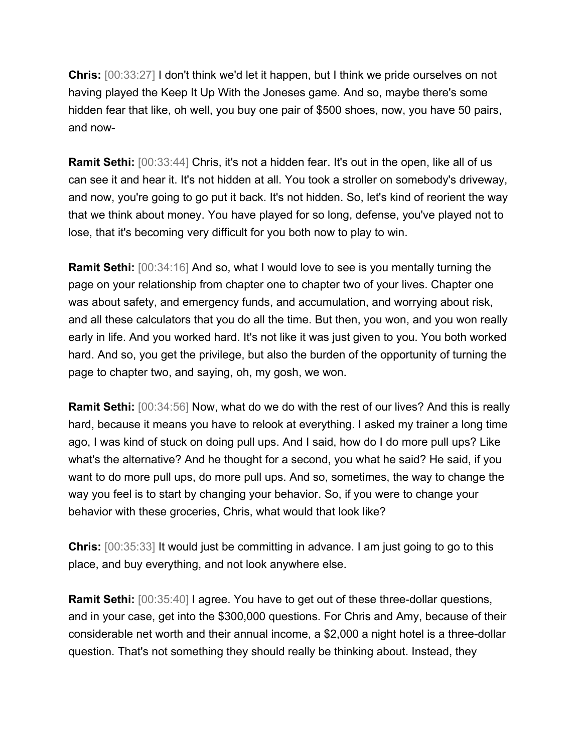**Chris:** [00:33:27] I don't think we'd let it happen, but I think we pride ourselves on not having played the Keep It Up With the Joneses game. And so, maybe there's some hidden fear that like, oh well, you buy one pair of \$500 shoes, now, you have 50 pairs, and now-

**Ramit Sethi:** [00:33:44] Chris, it's not a hidden fear. It's out in the open, like all of us can see it and hear it. It's not hidden at all. You took a stroller on somebody's driveway, and now, you're going to go put it back. It's not hidden. So, let's kind of reorient the way that we think about money. You have played for so long, defense, you've played not to lose, that it's becoming very difficult for you both now to play to win.

**Ramit Sethi:** [00:34:16] And so, what I would love to see is you mentally turning the page on your relationship from chapter one to chapter two of your lives. Chapter one was about safety, and emergency funds, and accumulation, and worrying about risk, and all these calculators that you do all the time. But then, you won, and you won really early in life. And you worked hard. It's not like it was just given to you. You both worked hard. And so, you get the privilege, but also the burden of the opportunity of turning the page to chapter two, and saying, oh, my gosh, we won.

**Ramit Sethi:** [00:34:56] Now, what do we do with the rest of our lives? And this is really hard, because it means you have to relook at everything. I asked my trainer a long time ago, I was kind of stuck on doing pull ups. And I said, how do I do more pull ups? Like what's the alternative? And he thought for a second, you what he said? He said, if you want to do more pull ups, do more pull ups. And so, sometimes, the way to change the way you feel is to start by changing your behavior. So, if you were to change your behavior with these groceries, Chris, what would that look like?

**Chris:** [00:35:33] It would just be committing in advance. I am just going to go to this place, and buy everything, and not look anywhere else.

**Ramit Sethi:** [00:35:40] I agree. You have to get out of these three-dollar questions, and in your case, get into the \$300,000 questions. For Chris and Amy, because of their considerable net worth and their annual income, a \$2,000 a night hotel is a three-dollar question. That's not something they should really be thinking about. Instead, they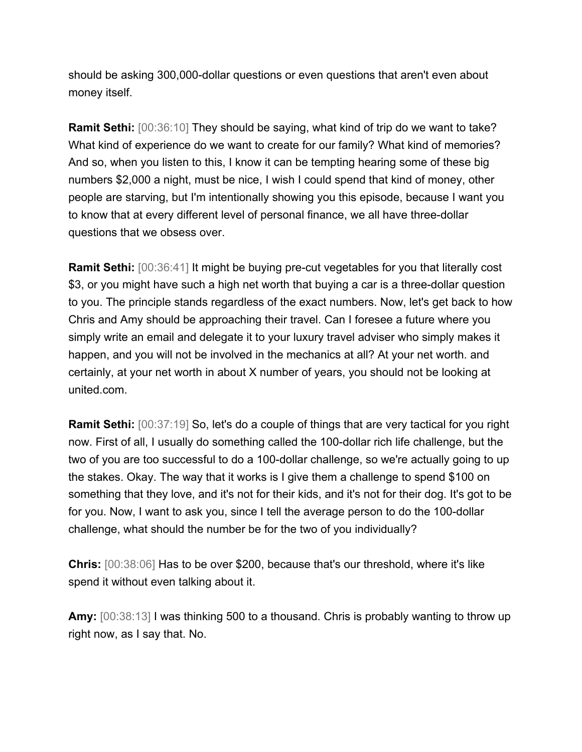should be asking 300,000-dollar questions or even questions that aren't even about money itself.

**Ramit Sethi:** [00:36:10] They should be saying, what kind of trip do we want to take? What kind of experience do we want to create for our family? What kind of memories? And so, when you listen to this, I know it can be tempting hearing some of these big numbers \$2,000 a night, must be nice, I wish I could spend that kind of money, other people are starving, but I'm intentionally showing you this episode, because I want you to know that at every different level of personal finance, we all have three-dollar questions that we obsess over.

**Ramit Sethi:**  $[00:36:41]$  It might be buying pre-cut vegetables for you that literally cost \$3, or you might have such a high net worth that buying a car is a three-dollar question to you. The principle stands regardless of the exact numbers. Now, let's get back to how Chris and Amy should be approaching their travel. Can I foresee a future where you simply write an email and delegate it to your luxury travel adviser who simply makes it happen, and you will not be involved in the mechanics at all? At your net worth. and certainly, at your net worth in about X number of years, you should not be looking at united.com.

**Ramit Sethi:** [00:37:19] So, let's do a couple of things that are very tactical for you right now. First of all, I usually do something called the 100-dollar rich life challenge, but the two of you are too successful to do a 100-dollar challenge, so we're actually going to up the stakes. Okay. The way that it works is I give them a challenge to spend \$100 on something that they love, and it's not for their kids, and it's not for their dog. It's got to be for you. Now, I want to ask you, since I tell the average person to do the 100-dollar challenge, what should the number be for the two of you individually?

**Chris:** [00:38:06] Has to be over \$200, because that's our threshold, where it's like spend it without even talking about it.

**Amy:** [00:38:13] I was thinking 500 to a thousand. Chris is probably wanting to throw up right now, as I say that. No.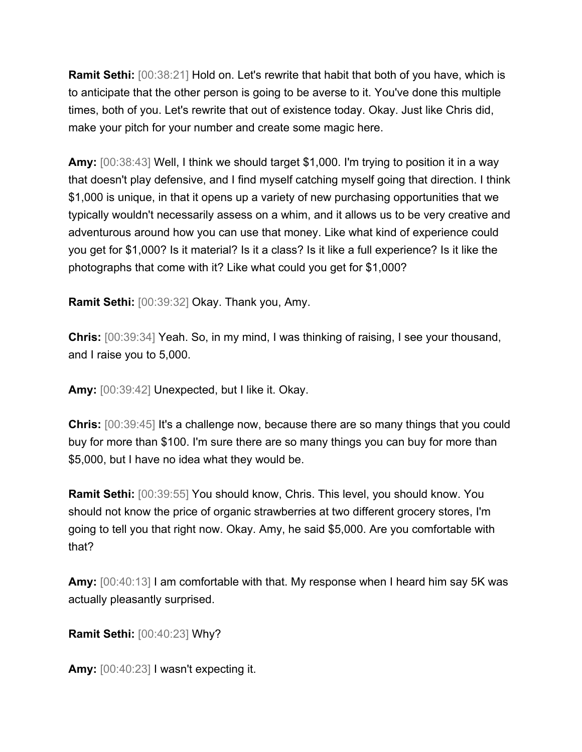**Ramit Sethi:** [00:38:21] Hold on. Let's rewrite that habit that both of you have, which is to anticipate that the other person is going to be averse to it. You've done this multiple times, both of you. Let's rewrite that out of existence today. Okay. Just like Chris did, make your pitch for your number and create some magic here.

**Amy:** [00:38:43] Well, I think we should target \$1,000. I'm trying to position it in a way that doesn't play defensive, and I find myself catching myself going that direction. I think \$1,000 is unique, in that it opens up a variety of new purchasing opportunities that we typically wouldn't necessarily assess on a whim, and it allows us to be very creative and adventurous around how you can use that money. Like what kind of experience could you get for \$1,000? Is it material? Is it a class? Is it like a full experience? Is it like the photographs that come with it? Like what could you get for \$1,000?

**Ramit Sethi:** [00:39:32] Okay. Thank you, Amy.

**Chris:** [00:39:34] Yeah. So, in my mind, I was thinking of raising, I see your thousand, and I raise you to 5,000.

**Amy:** [00:39:42] Unexpected, but I like it. Okay.

**Chris:**  $[00:39:45]$  It's a challenge now, because there are so many things that you could buy for more than \$100. I'm sure there are so many things you can buy for more than \$5,000, but I have no idea what they would be.

**Ramit Sethi:** [00:39:55] You should know, Chris. This level, you should know. You should not know the price of organic strawberries at two different grocery stores, I'm going to tell you that right now. Okay. Amy, he said \$5,000. Are you comfortable with that?

**Amy:** [00:40:13] I am comfortable with that. My response when I heard him say 5K was actually pleasantly surprised.

**Ramit Sethi:** [00:40:23] Why?

**Amy:** [00:40:23] I wasn't expecting it.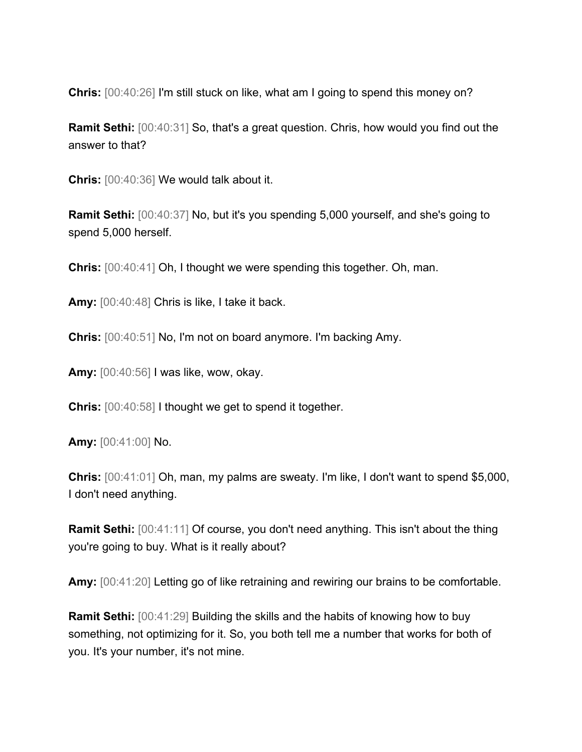**Chris:** [00:40:26] I'm still stuck on like, what am I going to spend this money on?

**Ramit Sethi:** [00:40:31] So, that's a great question. Chris, how would you find out the answer to that?

**Chris:** [00:40:36] We would talk about it.

**Ramit Sethi:** [00:40:37] No, but it's you spending 5,000 yourself, and she's going to spend 5,000 herself.

**Chris:** [00:40:41] Oh, I thought we were spending this together. Oh, man.

**Amy:** [00:40:48] Chris is like, I take it back.

**Chris:** [00:40:51] No, I'm not on board anymore. I'm backing Amy.

**Amy:** [00:40:56] I was like, wow, okay.

**Chris:** [00:40:58] I thought we get to spend it together.

**Amy:** [00:41:00] No.

**Chris:** [00:41:01] Oh, man, my palms are sweaty. I'm like, I don't want to spend \$5,000, I don't need anything.

**Ramit Sethi:** [00:41:11] Of course, you don't need anything. This isn't about the thing you're going to buy. What is it really about?

**Amy:** [00:41:20] Letting go of like retraining and rewiring our brains to be comfortable.

**Ramit Sethi:** [00:41:29] Building the skills and the habits of knowing how to buy something, not optimizing for it. So, you both tell me a number that works for both of you. It's your number, it's not mine.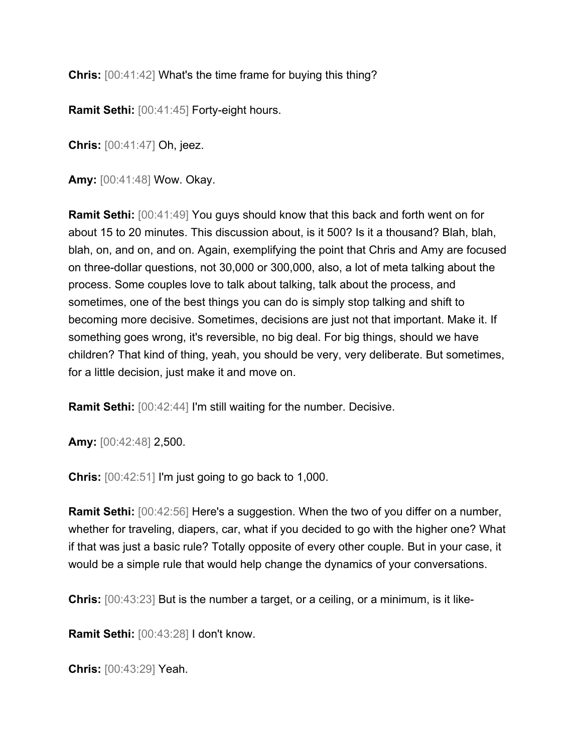**Chris:** [00:41:42] What's the time frame for buying this thing?

**Ramit Sethi:** [00:41:45] Forty-eight hours.

**Chris:** [00:41:47] Oh, jeez.

**Amy:** [00:41:48] Wow. Okay.

**Ramit Sethi:** [00:41:49] You guys should know that this back and forth went on for about 15 to 20 minutes. This discussion about, is it 500? Is it a thousand? Blah, blah, blah, on, and on, and on. Again, exemplifying the point that Chris and Amy are focused on three-dollar questions, not 30,000 or 300,000, also, a lot of meta talking about the process. Some couples love to talk about talking, talk about the process, and sometimes, one of the best things you can do is simply stop talking and shift to becoming more decisive. Sometimes, decisions are just not that important. Make it. If something goes wrong, it's reversible, no big deal. For big things, should we have children? That kind of thing, yeah, you should be very, very deliberate. But sometimes, for a little decision, just make it and move on.

**Ramit Sethi:** [00:42:44] I'm still waiting for the number. Decisive.

**Amy:** [00:42:48] 2,500.

**Chris:** [00:42:51] I'm just going to go back to 1,000.

**Ramit Sethi:** [00:42:56] Here's a suggestion. When the two of you differ on a number, whether for traveling, diapers, car, what if you decided to go with the higher one? What if that was just a basic rule? Totally opposite of every other couple. But in your case, it would be a simple rule that would help change the dynamics of your conversations.

**Chris:** [00:43:23] But is the number a target, or a ceiling, or a minimum, is it like-

**Ramit Sethi:** [00:43:28] I don't know.

**Chris:** [00:43:29] Yeah.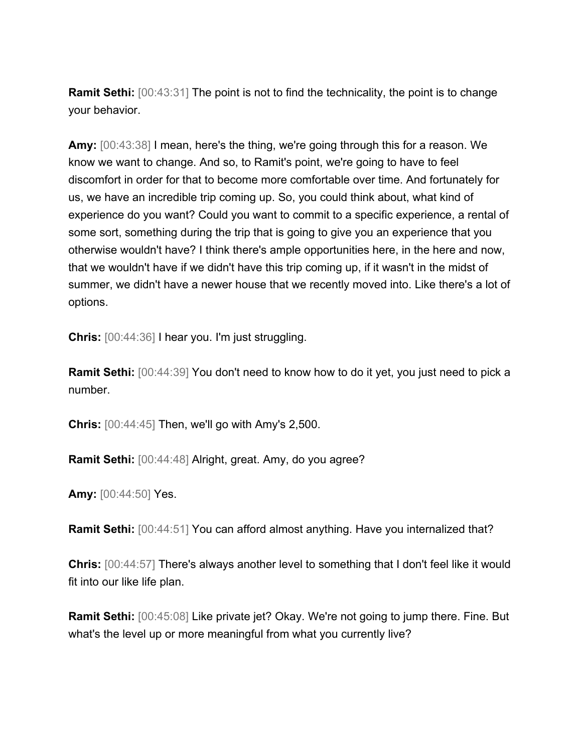**Ramit Sethi:** [00:43:31] The point is not to find the technicality, the point is to change your behavior.

**Amy:** [00:43:38] I mean, here's the thing, we're going through this for a reason. We know we want to change. And so, to Ramit's point, we're going to have to feel discomfort in order for that to become more comfortable over time. And fortunately for us, we have an incredible trip coming up. So, you could think about, what kind of experience do you want? Could you want to commit to a specific experience, a rental of some sort, something during the trip that is going to give you an experience that you otherwise wouldn't have? I think there's ample opportunities here, in the here and now, that we wouldn't have if we didn't have this trip coming up, if it wasn't in the midst of summer, we didn't have a newer house that we recently moved into. Like there's a lot of options.

**Chris:** [00:44:36] I hear you. I'm just struggling.

**Ramit Sethi:** [00:44:39] You don't need to know how to do it yet, you just need to pick a number.

**Chris:** [00:44:45] Then, we'll go with Amy's 2,500.

**Ramit Sethi:** [00:44:48] Alright, great. Amy, do you agree?

**Amy:** [00:44:50] Yes.

**Ramit Sethi:** [00:44:51] You can afford almost anything. Have you internalized that?

**Chris:** [00:44:57] There's always another level to something that I don't feel like it would fit into our like life plan.

**Ramit Sethi:** [00:45:08] Like private jet? Okay. We're not going to jump there. Fine. But what's the level up or more meaningful from what you currently live?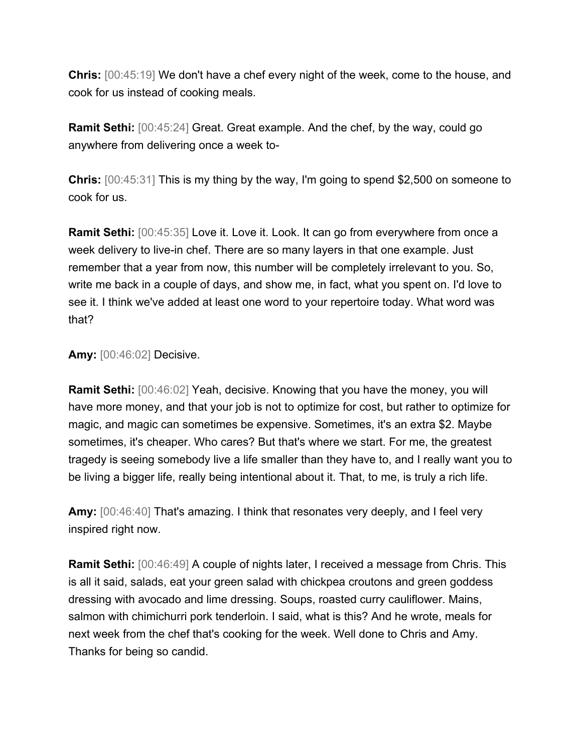**Chris:** [00:45:19] We don't have a chef every night of the week, come to the house, and cook for us instead of cooking meals.

**Ramit Sethi:** [00:45:24] Great. Great example. And the chef, by the way, could go anywhere from delivering once a week to-

**Chris:** [00:45:31] This is my thing by the way, I'm going to spend \$2,500 on someone to cook for us.

**Ramit Sethi:** [00:45:35] Love it. Love it. Look. It can go from everywhere from once a week delivery to live-in chef. There are so many layers in that one example. Just remember that a year from now, this number will be completely irrelevant to you. So, write me back in a couple of days, and show me, in fact, what you spent on. I'd love to see it. I think we've added at least one word to your repertoire today. What word was that?

**Amy:** [00:46:02] Decisive.

**Ramit Sethi:** [00:46:02] Yeah, decisive. Knowing that you have the money, you will have more money, and that your job is not to optimize for cost, but rather to optimize for magic, and magic can sometimes be expensive. Sometimes, it's an extra \$2. Maybe sometimes, it's cheaper. Who cares? But that's where we start. For me, the greatest tragedy is seeing somebody live a life smaller than they have to, and I really want you to be living a bigger life, really being intentional about it. That, to me, is truly a rich life.

**Amy:** [00:46:40] That's amazing. I think that resonates very deeply, and I feel very inspired right now.

**Ramit Sethi:** [00:46:49] A couple of nights later, I received a message from Chris. This is all it said, salads, eat your green salad with chickpea croutons and green goddess dressing with avocado and lime dressing. Soups, roasted curry cauliflower. Mains, salmon with chimichurri pork tenderloin. I said, what is this? And he wrote, meals for next week from the chef that's cooking for the week. Well done to Chris and Amy. Thanks for being so candid.